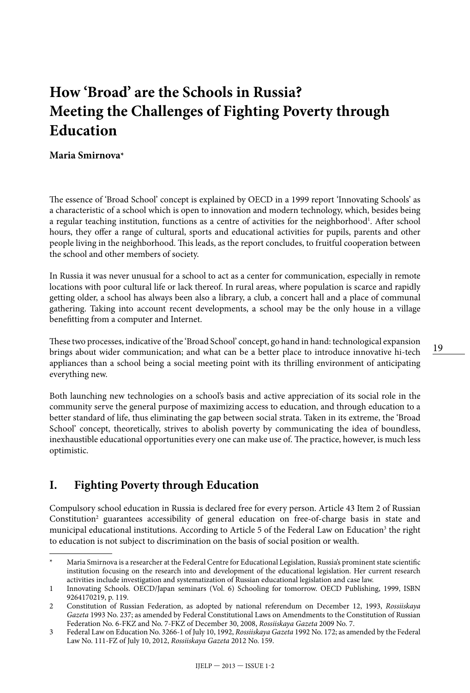# **How 'Broad' are the Schools in Russia? Meeting the Challenges of Fighting Poverty through Education**

#### **Maria Smirnova\***

The essence of 'Broad School' concept is explained by OECD in a 1999 report 'Innovating Schools' as a characteristic of a school which is open to innovation and modern technology, which, besides being a regular teaching institution, functions as a centre of activities for the neighborhood<sup>1</sup>. After school hours, they offer a range of cultural, sports and educational activities for pupils, parents and other people living in the neighborhood. This leads, as the report concludes, to fruitful cooperation between the school and other members of society.

In Russia it was never unusual for a school to act as a center for communication, especially in remote locations with poor cultural life or lack thereof. In rural areas, where population is scarce and rapidly getting older, a school has always been also a library, a club, a concert hall and a place of communal gathering. Taking into account recent developments, a school may be the only house in a village benefitting from a computer and Internet.

These two processes, indicative of the 'Broad School' concept, go hand in hand: technological expansion brings about wider communication; and what can be a better place to introduce innovative hi-tech appliances than a school being a social meeting point with its thrilling environment of anticipating everything new.

Both launching new technologies on a school's basis and active appreciation of its social role in the community serve the general purpose of maximizing access to education, and through education to a better standard of life, thus eliminating the gap between social strata. Taken in its extreme, the 'Broad School' concept, theoretically, strives to abolish poverty by communicating the idea of boundless, inexhaustible educational opportunities every one can make use of. The practice, however, is much less optimistic.

# **I. Fighting Poverty through Education**

Compulsory school education in Russia is declared free for every person. Article 43 Item 2 of Russian Constitution<sup>2</sup> guarantees accessibility of general education on free-of-charge basis in state and municipal educational institutions. According to Article 5 of the Federal Law on Education<sup>3</sup> the right to education is not subject to discrimination on the basis of social position or wealth.

Maria Smirnova is a researcher at the Federal Centre for Educational Legislation, Russia's prominent state scientific institution focusing on the research into and development of the educational legislation. Her current research activities include investigation and systematization of Russian educational legislation and case law.

<sup>1</sup> Innovating Schools. OECD/Japan seminars (Vol. 6) Schooling for tomorrow. OECD Publishing, 1999, ISBN 9264170219, p. 119.

<sup>2</sup> Constitution of Russian Federation, as adopted by national referendum on December 12, 1993, *Rossiiskaya Gazeta* 1993 No. 237; as amended by Federal Constitutional Laws on Amendments to the Constitution of Russian Federation No. 6-FKZ and No. 7-FKZ of December 30, 2008, *Rossiiskaya Gazeta* 2009 No. 7.

<sup>3</sup> Federal Law on Education No. 3266-1 of July 10, 1992, *Rossiiskaya Gazeta* 1992 No. 172; as amended by the Federal Law No. 111-FZ of July 10, 2012, *Rossiiskaya Gazeta* 2012 No. 159.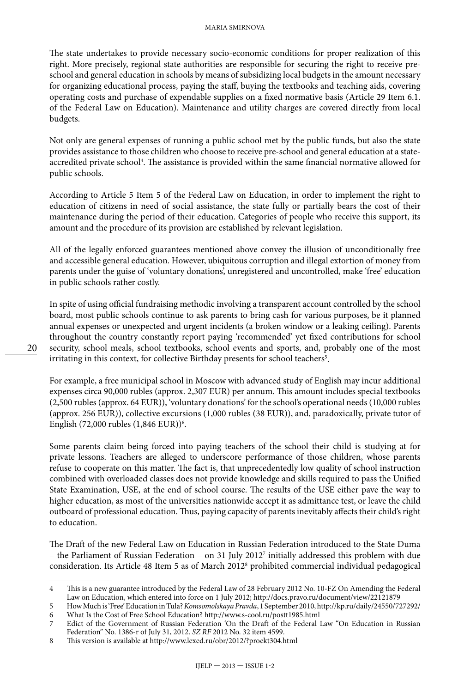#### MARIA SMIRNOVA

The state undertakes to provide necessary socio-economic conditions for proper realization of this right. More precisely, regional state authorities are responsible for securing the right to receive preschool and general education in schools by means of subsidizing local budgets in the amount necessary for organizing educational process, paying the staff, buying the textbooks and teaching aids, covering operating costs and purchase of expendable supplies on a fixed normative basis (Article 29 Item 6.1. of the Federal Law on Education). Maintenance and utility charges are covered directly from local budgets.

Not only are general expenses of running a public school met by the public funds, but also the state provides assistance to those children who choose to receive pre-school and general education at a stateaccredited private school<sup>4</sup>. The assistance is provided within the same financial normative allowed for public schools.

According to Article 5 Item 5 of the Federal Law on Education, in order to implement the right to education of citizens in need of social assistance, the state fully or partially bears the cost of their maintenance during the period of their education. Categories of people who receive this support, its amount and the procedure of its provision are established by relevant legislation.

All of the legally enforced guarantees mentioned above convey the illusion of unconditionally free and accessible general education. However, ubiquitous corruption and illegal extortion of money from parents under the guise of 'voluntary donations', unregistered and uncontrolled, make 'free' education in public schools rather costly.

In spite of using official fundraising methodic involving a transparent account controlled by the school board, most public schools continue to ask parents to bring cash for various purposes, be it planned annual expenses or unexpected and urgent incidents (a broken window or a leaking ceiling). Parents throughout the country constantly report paying 'recommended' yet fixed contributions for school security, school meals, school textbooks, school events and sports, and, probably one of the most irritating in this context, for collective Birthday presents for school teachers<sup>5</sup>.

For example, a free municipal school in Moscow with advanced study of English may incur additional expenses circa 90,000 rubles (approx. 2,307 EUR) per annum. This amount includes special textbooks (2,500 rubles (approx. 64 EUR)), 'voluntary donations' for the school's operational needs (10,000 rubles (approx. 256 EUR)), collective excursions (1,000 rubles (38 EUR)), and, paradoxically, private tutor of English (72,000 rubles (1,846 EUR))<sup>6</sup>.

Some parents claim being forced into paying teachers of the school their child is studying at for private lessons. Teachers are alleged to underscore performance of those children, whose parents refuse to cooperate on this matter. The fact is, that unprecedentedly low quality of school instruction combined with overloaded classes does not provide knowledge and skills required to pass the Unified State Examination, USE, at the end of school course. The results of the USE either pave the way to higher education, as most of the universities nationwide accept it as admittance test, or leave the child outboard of professional education. Thus, paying capacity of parents inevitably affects their child's right to education.

The Draft of the new Federal Law on Education in Russian Federation introduced to the State Duma – the Parliament of Russian Federation – on 31 July 20127 initially addressed this problem with due consideration. Its Article 48 Item 5 as of March 20128 prohibited commercial individual pedagogical

<sup>4</sup> This is a new guarantee introduced by the Federal Law of 28 February 2012 No. 10-FZ On Amending the Federal Law on Education, which entered into force on 1 July 2012;<http://docs.pravo.ru/document/view/22121879>

<sup>5</sup> How Much is 'Free' Education in Tula? *Komsomolskaya Pravda*, 1 September 2010, http://kp.ru/daily/24550/727292/

<sup>6</sup> What Is the Cost of Free School Education? http://www.s-cool.ru/postt1985.html

<sup>7</sup> Edict of the Government of Russian Federation 'On the Draft of the Federal Law "On Education in Russian Federation" No. 1386-r of July 31, 2012. *SZ RF* 2012 No. 32 item 4599.

<sup>8</sup> This version is available at http://www.lexed.ru/obr/2012/?proekt304.html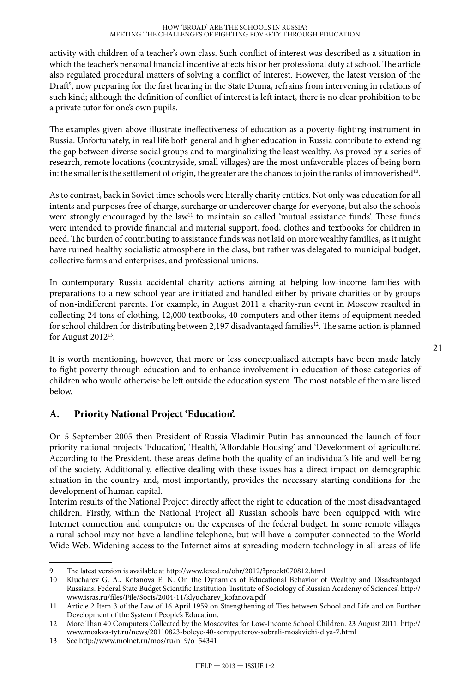activity with children of a teacher's own class. Such conflict of interest was described as a situation in which the teacher's personal financial incentive affects his or her professional duty at school. The article also regulated procedural matters of solving a conflict of interest. However, the latest version of the Draft<sup>9</sup>, now preparing for the first hearing in the State Duma, refrains from intervening in relations of such kind; although the definition of conflict of interest is left intact, there is no clear prohibition to be a private tutor for one's own pupils.

The examples given above illustrate ineffectiveness of education as a poverty-fighting instrument in Russia. Unfortunately, in real life both general and higher education in Russia contribute to extending the gap between diverse social groups and to marginalizing the least wealthy. As proved by a series of research, remote locations (countryside, small villages) are the most unfavorable places of being born in: the smaller is the settlement of origin, the greater are the chances to join the ranks of impoverished<sup>10</sup>.

As to contrast, back in Soviet times schools were literally charity entities. Not only was education for all intents and purposes free of charge, surcharge or undercover charge for everyone, but also the schools were strongly encouraged by the law<sup>11</sup> to maintain so called 'mutual assistance funds'. These funds were intended to provide financial and material support, food, clothes and textbooks for children in need. The burden of contributing to assistance funds was not laid on more wealthy families, as it might have ruined healthy socialistic atmosphere in the class, but rather was delegated to municipal budget, collective farms and enterprises, and professional unions.

In contemporary Russia accidental charity actions aiming at helping low-income families with preparations to a new school year are initiated and handled either by private charities or by groups of non-indifferent parents. For example, in August 2011 a charity-run event in Moscow resulted in collecting 24 tons of clothing, 12,000 textbooks, 40 computers and other items of equipment needed for school children for distributing between 2,197 disadvantaged families<sup>12</sup>. The same action is planned for August  $2012^{13}$ .

It is worth mentioning, however, that more or less conceptualized attempts have been made lately to fight poverty through education and to enhance involvement in education of those categories of children who would otherwise be left outside the education system. The most notable of them are listed below.

## **A. Priority National Project 'Education'.**

On 5 September 2005 then President of Russia Vladimir Putin has announced the launch of four priority national projects 'Education', 'Health', 'Affordable Housing' and 'Development of agriculture'. According to the President, these areas define both the quality of an individual's life and well-being of the society. Additionally, effective dealing with these issues has a direct impact on demographic situation in the country and, most importantly, provides the necessary starting conditions for the development of human capital.

Interim results of the National Project directly affect the right to education of the most disadvantaged children. Firstly, within the National Project all Russian schools have been equipped with wire Internet connection and computers on the expenses of the federal budget. In some remote villages a rural school may not have a landline telephone, but will have a computer connected to the World Wide Web. Widening access to the Internet aims at spreading modern technology in all areas of life

<sup>9</sup> The latest version is available at http://www.lexed.ru/obr/2012/?proekt070812.html

<sup>10</sup> Klucharev G. A., Kofanova E. N. On the Dynamics of Educational Behavior of Wealthy and Disadvantaged Russians. Federal State Budget Scientific Institution 'Institute of Sociology of Russian Academy of Sciences'. http:// www.isras.ru/files/File/Socis/2004-11/klyucharev\_kofanova.pdf

<sup>11</sup> Article 2 Item 3 of the Law of 16 April 1959 on Strengthening of Ties between School and Life and on Further Development of the System f People's Education.

<sup>12</sup> More Than 40 Computers Collected by the Moscovites for Low-Income School Children. 23 August 2011. http:// www.moskva-tyt.ru/news/20110823-boleye-40-kompyuterov-sobrali-moskvichi-dlya-7.html

<sup>13</sup> See http://www.molnet.ru/mos/ru/n\_9/o\_54341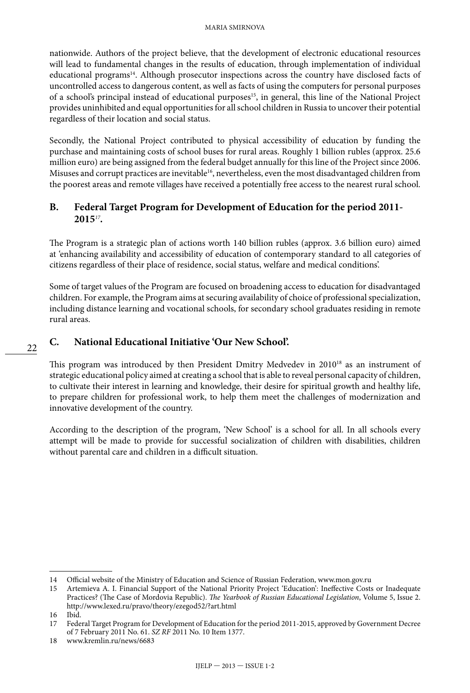#### MARIA SMIRNOVA

nationwide. Authors of the project believe, that the development of electronic educational resources will lead to fundamental changes in the results of education, through implementation of individual educational programs<sup>14</sup>. Although prosecutor inspections across the country have disclosed facts of uncontrolled access to dangerous content, as well as facts of using the computers for personal purposes of a school's principal instead of educational purposes<sup>15</sup>, in general, this line of the National Project provides uninhibited and equal opportunities for all school children in Russia to uncover their potential regardless of their location and social status.

Secondly, the National Project contributed to physical accessibility of education by funding the purchase and maintaining costs of school buses for rural areas. Roughly 1 billion rubles (approx. 25.6 million euro) are being assigned from the federal budget annually for this line of the Project since 2006. Misuses and corrupt practices are inevitable<sup>16</sup>, nevertheless, even the most disadvantaged children from the poorest areas and remote villages have received a potentially free access to the nearest rural school.

### **B. Federal Target Program for Development of Education for the period 2011- 2015***17.*

The Program is a strategic plan of actions worth 140 billion rubles (approx. 3.6 billion euro) aimed at 'enhancing availability and accessibility of education of contemporary standard to all categories of citizens regardless of their place of residence, social status, welfare and medical conditions'.

Some of target values of the Program are focused on broadening access to education for disadvantaged children. For example, the Program aims at securing availability of choice of professional specialization, including distance learning and vocational schools, for secondary school graduates residing in remote rural areas.

#### **C. National Educational Initiative 'Our New School'.**

This program was introduced by then President Dmitry Medvedev in 2010<sup>18</sup> as an instrument of strategic educational policy aimed at creating a school that is able to reveal personal capacity of children, to cultivate their interest in learning and knowledge, their desire for spiritual growth and healthy life, to prepare children for professional work, to help them meet the challenges of modernization and innovative development of the country.

According to the description of the program, 'New School' is a school for all. In all schools every attempt will be made to provide for successful socialization of children with disabilities, children without parental care and children in a difficult situation.

<sup>14</sup> Official website of the Ministry of Education and Science of Russian Federation, www.mon.gov.ru

<sup>15</sup> Artemieva A. I. Financial Support of the National Priority Project 'Education': Ineffective Costs or Inadequate Practices? (The Case of Mordovia Republic). *The Yearbook of Russian Educational Legislation*, Volume 5, Issue 2. http://www.lexed.ru/pravo/theory/ezegod52/?art.html

<sup>16</sup> Ibid.

<sup>17</sup> Federal Target Program for Development of Education for the period 2011-2015, approved by Government Decree of 7 February 2011 No. 61. *SZ RF* 2011 No. 10 Item 1377.

<sup>18</sup> www.kremlin.ru/news/6683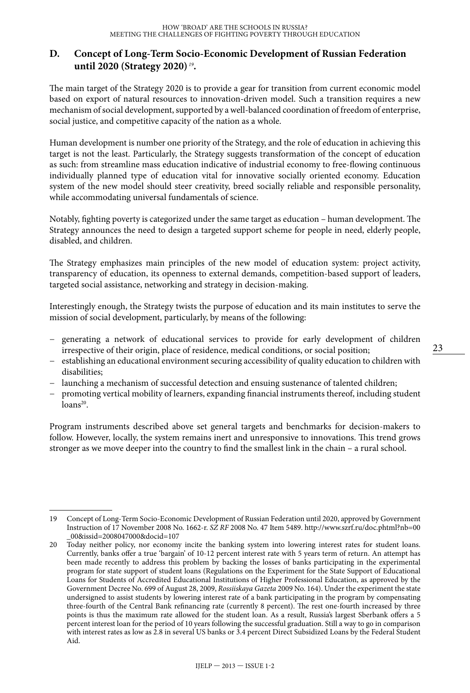## **D. Concept of Long-Term Socio-Economic Development of Russian Federation until 2020 (Strategy 2020)** *<sup>19</sup>.*

The main target of the Strategy 2020 is to provide a gear for transition from current economic model based on export of natural resources to innovation-driven model. Such a transition requires a new mechanism of social development, supported by a well-balanced coordination of freedom of enterprise, social justice, and competitive capacity of the nation as a whole.

Human development is number one priority of the Strategy, and the role of education in achieving this target is not the least. Particularly, the Strategy suggests transformation of the concept of education as such: from streamline mass education indicative of industrial economy to free-flowing continuous individually planned type of education vital for innovative socially oriented economy. Education system of the new model should steer creativity, breed socially reliable and responsible personality, while accommodating universal fundamentals of science.

Notably, fighting poverty is categorized under the same target as education – human development. The Strategy announces the need to design a targeted support scheme for people in need, elderly people, disabled, and children.

The Strategy emphasizes main principles of the new model of education system: project activity, transparency of education, its openness to external demands, competition-based support of leaders, targeted social assistance, networking and strategy in decision-making.

Interestingly enough, the Strategy twists the purpose of education and its main institutes to serve the mission of social development, particularly, by means of the following:

- − generating a network of educational services to provide for early development of children irrespective of their origin, place of residence, medical conditions, or social position;
- − establishing an educational environment securing accessibility of quality education to children with disabilities;
- − launching a mechanism of successful detection and ensuing sustenance of talented children;
- promoting vertical mobility of learners, expanding financial instruments thereof, including student  $loans<sup>20</sup>$ .

Program instruments described above set general targets and benchmarks for decision-makers to follow. However, locally, the system remains inert and unresponsive to innovations. This trend grows stronger as we move deeper into the country to find the smallest link in the chain – a rural school.

<sup>19</sup> Concept of Long-Term Socio-Economic Development of Russian Federation until 2020, approved by Government Instruction of 17 November 2008 No. 1662-r. *SZ RF* 2008 No. 47 Item 5489. http://www.szrf.ru/doc.phtml?nb=00 \_00&issid=2008047000&docid=107

<sup>20</sup> Today neither policy, nor economy incite the banking system into lowering interest rates for student loans. Currently, banks offer a true 'bargain' of 10-12 percent interest rate with 5 years term of return. An attempt has been made recently to address this problem by backing the losses of banks participating in the experimental program for state support of student loans (Regulations on the Experiment for the State Support of Educational Loans for Students of Accredited Educational Institutions of Higher Professional Education, as approved by the Government Decree No. 699 of August 28, 2009, *Rossiiskaya Gazeta* 2009 No. 164). Under the experiment the state undersigned to assist students by lowering interest rate of a bank participating in the program by compensating three-fourth of the Central Bank refinancing rate (currently 8 percent). The rest one-fourth increased by three points is thus the maximum rate allowed for the student loan. As a result, Russia's largest Sberbank offers a 5 percent interest loan for the period of 10 years following the successful graduation. Still a way to go in comparison with interest rates as low as 2.8 in several US banks or 3.4 percent Direct Subsidized Loans by the Federal Student Aid.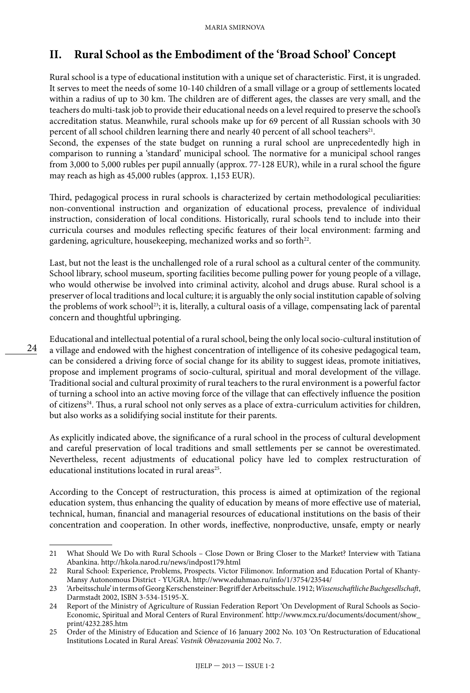# **II. Rural School as the Embodiment of the 'Broad School' Concept**

Rural school is a type of educational institution with a unique set of characteristic. First, it is ungraded. It serves to meet the needs of some 10-140 children of a small village or a group of settlements located within a radius of up to 30 km. The children are of different ages, the classes are very small, and the teachers do multi-task job to provide their educational needs on a level required to preserve the school's accreditation status. Meanwhile, rural schools make up for 69 percent of all Russian schools with 30 percent of all school children learning there and nearly 40 percent of all school teachers<sup>21</sup>.

Second, the expenses of the state budget on running a rural school are unprecedentedly high in comparison to running a 'standard' municipal school. The normative for a municipal school ranges from 3,000 to 5,000 rubles per pupil annually (approx. 77-128 EUR), while in a rural school the figure may reach as high as 45,000 rubles (approx. 1,153 EUR).

Third, pedagogical process in rural schools is characterized by certain methodological peculiarities: non-conventional instruction and organization of educational process, prevalence of individual instruction, consideration of local conditions. Historically, rural schools tend to include into their curricula courses and modules reflecting specific features of their local environment: farming and gardening, agriculture, housekeeping, mechanized works and so forth<sup>22</sup>.

Last, but not the least is the unchallenged role of a rural school as a cultural center of the community. School library, school museum, sporting facilities become pulling power for young people of a village, who would otherwise be involved into criminal activity, alcohol and drugs abuse. Rural school is a preserver of local traditions and local culture; it is arguably the only social institution capable of solving the problems of work school<sup>23</sup>; it is, literally, a cultural oasis of a village, compensating lack of parental concern and thoughtful upbringing.

Educational and intellectual potential of a rural school, being the only local socio-cultural institution of a village and endowed with the highest concentration of intelligence of its cohesive pedagogical team, can be considered a driving force of social change for its ability to suggest ideas, promote initiatives, propose and implement programs of socio-cultural, spiritual and moral development of the village. Traditional social and cultural proximity of rural teachers to the rural environment is a powerful factor of turning a school into an active moving force of the village that can effectively influence the position of citizens<sup>24</sup>. Thus, a rural school not only serves as a place of extra-curriculum activities for children, but also works as a solidifying social institute for their parents.

As explicitly indicated above, the significance of a rural school in the process of cultural development and careful preservation of local traditions and small settlements per se cannot be overestimated. Nevertheless, recent adjustments of educational policy have led to complex restructuration of educational institutions located in rural areas<sup>25</sup>.

According to the Concept of restructuration, this process is aimed at optimization of the regional education system, thus enhancing the quality of education by means of more effective use of material, technical, human, financial and managerial resources of educational institutions on the basis of their concentration and cooperation. In other words, ineffective, nonproductive, unsafe, empty or nearly

24

<sup>21</sup> What Should We Do with Rural Schools – Close Down or Bring Closer to the Market? Interview with Tatiana Abankina. http://hkola.narod.ru/news/indpost179.html

<sup>22</sup> Rural School: Experience, Problems, Prospects. Victor Filimonov. Information and Education Portal of Khanty-Mansy Autonomous District - YUGRA. http://www.eduhmao.ru/info/1/3754/23544/

<sup>23</sup> 'Arbeitsschule' in terms of Georg Kerschensteiner: Begriff der Arbeitsschule. 1912; *Wissenschaftliche Buchgesellschaft*, Darmstadt 2002, ISBN 3-534-15195-X.

<sup>24</sup> Report of the Ministry of Agriculture of Russian Federation Report 'On Development of Rural Schools as Socio-Economic, Spiritual and Moral Centers of Rural Environment'. http://www.mcx.ru/documents/document/show\_ print/4232.285.htm

<sup>25</sup> Order of the Ministry of Education and Science of 16 January 2002 No. 103 'On Restructuration of Educational Institutions Located in Rural Areas'. *Vestnik Obrazovania* 2002 No. 7.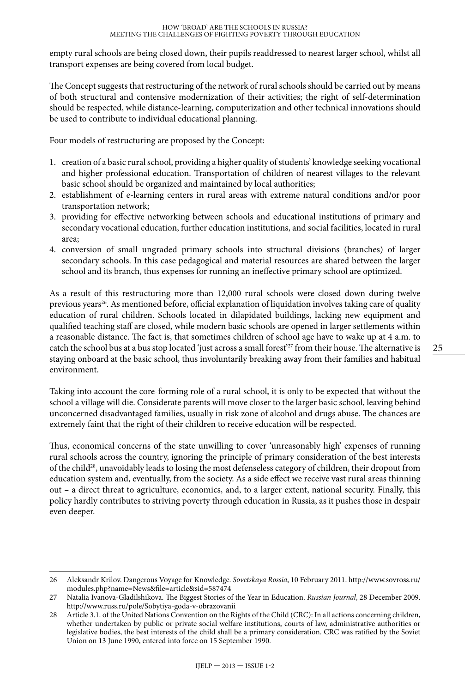empty rural schools are being closed down, their pupils readdressed to nearest larger school, whilst all transport expenses are being covered from local budget.

The Concept suggests that restructuring of the network of rural schools should be carried out by means of both structural and contensive modernization of their activities; the right of self-determination should be respected, while distance-learning, computerization and other technical innovations should be used to contribute to individual educational planning.

Four models of restructuring are proposed by the Concept:

- 1. creation of a basic rural school, providing a higher quality of students' knowledge seeking vocational and higher professional education. Transportation of children of nearest villages to the relevant basic school should be organized and maintained by local authorities;
- 2. establishment of e-learning centers in rural areas with extreme natural conditions and/or poor transportation network;
- 3. providing for effective networking between schools and educational institutions of primary and secondary vocational education, further education institutions, and social facilities, located in rural area;
- 4. conversion of small ungraded primary schools into structural divisions (branches) of larger secondary schools. In this case pedagogical and material resources are shared between the larger school and its branch, thus expenses for running an ineffective primary school are optimized.

As a result of this restructuring more than 12,000 rural schools were closed down during twelve previous years<sup>26</sup>. As mentioned before, official explanation of liquidation involves taking care of quality education of rural children. Schools located in dilapidated buildings, lacking new equipment and qualified teaching staff are closed, while modern basic schools are opened in larger settlements within a reasonable distance. The fact is, that sometimes children of school age have to wake up at 4 a.m. to catch the school bus at a bus stop located 'just across a small forest'27 from their house. The alternative is staying onboard at the basic school, thus involuntarily breaking away from their families and habitual environment.

Taking into account the core-forming role of a rural school, it is only to be expected that without the school a village will die. Considerate parents will move closer to the larger basic school, leaving behind unconcerned disadvantaged families, usually in risk zone of alcohol and drugs abuse. The chances are extremely faint that the right of their children to receive education will be respected.

Thus, economical concerns of the state unwilling to cover 'unreasonably high' expenses of running rural schools across the country, ignoring the principle of primary consideration of the best interests of the child28, unavoidably leads to losing the most defenseless category of children, their dropout from education system and, eventually, from the society. As a side effect we receive vast rural areas thinning out – a direct threat to agriculture, economics, and, to a larger extent, national security. Finally, this policy hardly contributes to striving poverty through education in Russia, as it pushes those in despair even deeper.

<sup>26</sup> Aleksandr Krilov. Dangerous Voyage for Knowledge. *Sovetskaya Rossia*, 10 February 2011. http://www.sovross.ru/ modules.php?name=News&file=article&sid=587474

<sup>27</sup> Natalia Ivanova-Gladilshikova. The Biggest Stories of the Year in Education. *Russian Journal*, 28 December 2009. http://www.russ.ru/pole/Sobytiya-goda-v-obrazovanii

<sup>28</sup> Article 3.1. of the United Nations Convention on the Rights of the Child (CRC): In all actions concerning children, whether undertaken by public or private social welfare institutions, courts of law, administrative authorities or legislative bodies, the best interests of the child shall be a primary consideration. CRC was ratified by the Soviet Union on 13 June 1990, entered into force on 15 September 1990.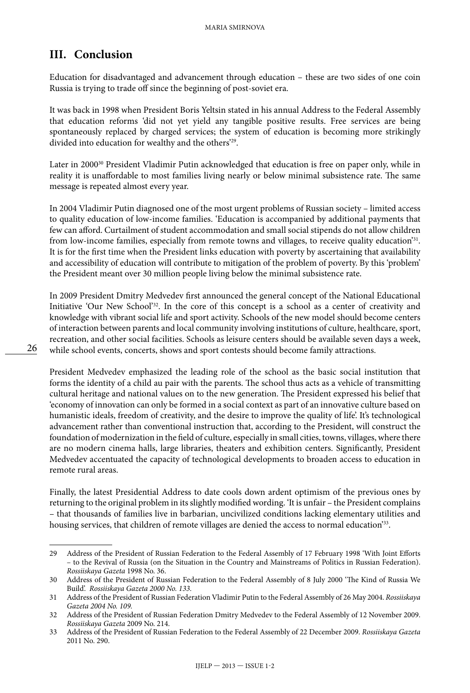# **III. Conclusion**

Education for disadvantaged and advancement through education – these are two sides of one coin Russia is trying to trade off since the beginning of post-soviet era.

It was back in 1998 when President Boris Yeltsin stated in his annual Address to the Federal Assembly that education reforms 'did not yet yield any tangible positive results. Free services are being spontaneously replaced by charged services; the system of education is becoming more strikingly divided into education for wealthy and the others'<sup>29</sup>.

Later in 2000<sup>30</sup> President Vladimir Putin acknowledged that education is free on paper only, while in reality it is unaffordable to most families living nearly or below minimal subsistence rate. The same message is repeated almost every year.

In 2004 Vladimir Putin diagnosed one of the most urgent problems of Russian society – limited access to quality education of low-income families. 'Education is accompanied by additional payments that few can afford. Curtailment of student accommodation and small social stipends do not allow children from low-income families, especially from remote towns and villages, to receive quality education'31. It is for the first time when the President links education with poverty by ascertaining that availability and accessibility of education will contribute to mitigation of the problem of poverty. By this 'problem' the President meant over 30 million people living below the minimal subsistence rate.

In 2009 President Dmitry Medvedev first announced the general concept of the National Educational Initiative 'Our New School'32. In the core of this concept is a school as a center of creativity and knowledge with vibrant social life and sport activity. Schools of the new model should become centers of interaction between parents and local community involving institutions of culture, healthcare, sport, recreation, and other social facilities. Schools as leisure centers should be available seven days a week, while school events, concerts, shows and sport contests should become family attractions.

President Medvedev emphasized the leading role of the school as the basic social institution that forms the identity of a child au pair with the parents. The school thus acts as a vehicle of transmitting cultural heritage and national values on to the new generation. The President expressed his belief that 'economy of innovation can only be formed in a social context as part of an innovative culture based on humanistic ideals, freedom of creativity, and the desire to improve the quality of life'. It's technological advancement rather than conventional instruction that, according to the President, will construct the foundation of modernization in the field of culture, especially in small cities, towns, villages, where there are no modern cinema halls, large libraries, theaters and exhibition centers. Significantly, President Medvedev accentuated the capacity of technological developments to broaden access to education in remote rural areas.

Finally, the latest Presidential Address to date cools down ardent optimism of the previous ones by returning to the original problem in its slightly modified wording. 'It is unfair – the President complains – that thousands of families live in barbarian, uncivilized conditions lacking elementary utilities and housing services, that children of remote villages are denied the access to normal education'33.

<sup>29</sup> Address of the President of Russian Federation to the Federal Assembly of 17 February 1998 'With Joint Efforts – to the Revival of Russia (on the Situation in the Country and Mainstreams of Politics in Russian Federation). *Rossiiskaya Gazeta* 1998 No. 36.

<sup>30</sup> Address of the President of Russian Federation to the Federal Assembly of 8 July 2000 'The Kind of Russia We Build'. *Rossiiskaya Gazeta 2000 No. 133.*

<sup>31</sup> Address of the President of Russian Federation Vladimir Putin to the Federal Assembly of 26 May 2004. *Rossiiskaya Gazeta 2004 No. 109.*

<sup>32</sup> Address of the President of Russian Federation Dmitry Medvedev to the Federal Assembly of 12 November 2009. *Rossiiskaya Gazeta* 2009 No. 214.

<sup>33</sup> Address of the President of Russian Federation to the Federal Assembly of 22 December 2009. *Rossiiskaya Gazeta*  2011 No. 290.